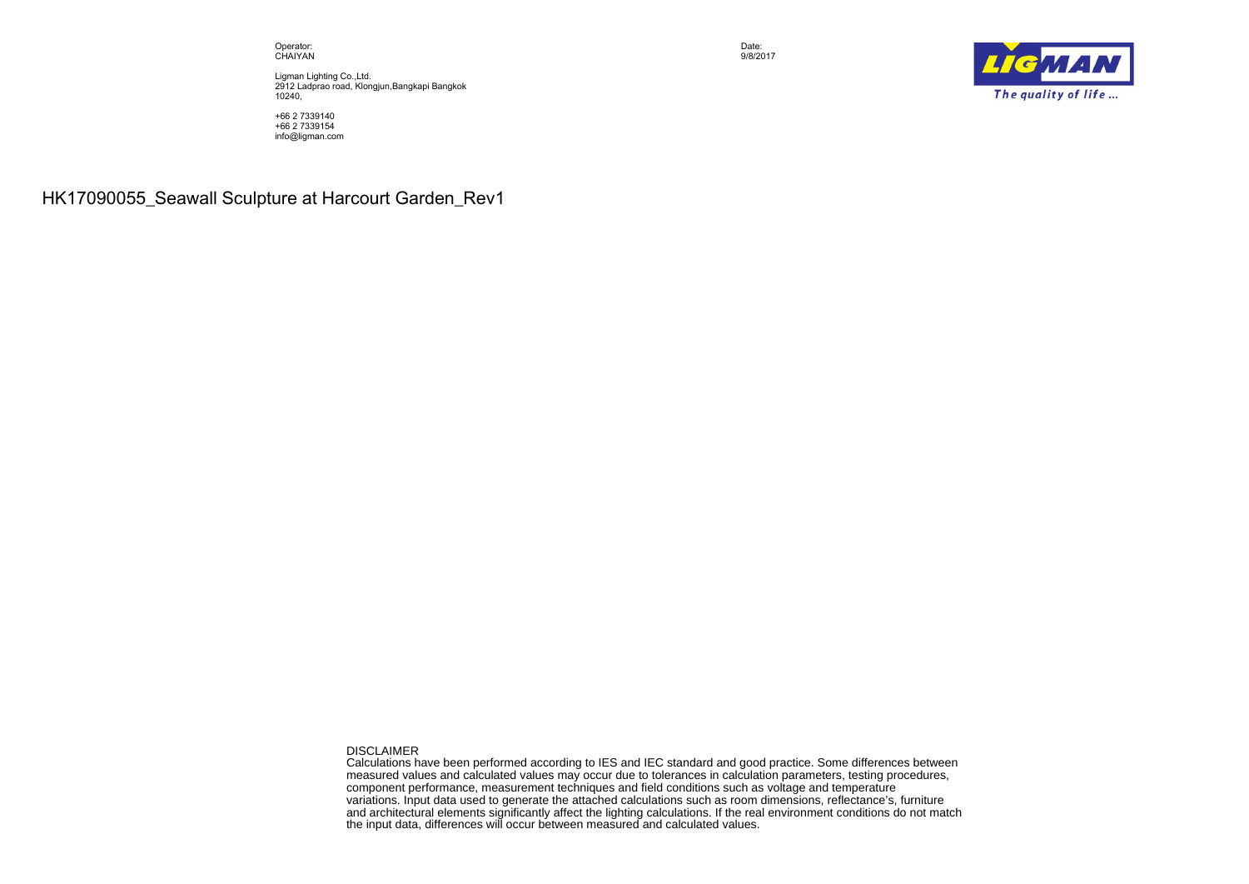Operator: CHAIYAN

Ligman Lighting Co.,Ltd. 2912 Ladprao road, Klongjun,Bangkapi Bangkok 10240,

+66 2 7339140 +66 2 7339154 info@ligman.com

**HK17090055\_Seawall Sculpture at Harcourt Garden\_Rev1**

DISCLAIMER

Calculations have been performed according to IES and IEC standard and good practice. Some differences between measured values and calculated values may occur due to tolerances in calculation parameters, testing procedures, component performance, measurement techniques and field conditions such as voltage and temperature variations. Input data used to generate the attached calculations such as room dimensions, reflectance's, furniture and architectural elements significantly affect the lighting calculations. If the real environment conditions do not match the input data, differences will occur between measured and calculated values.



Date: 9/8/2017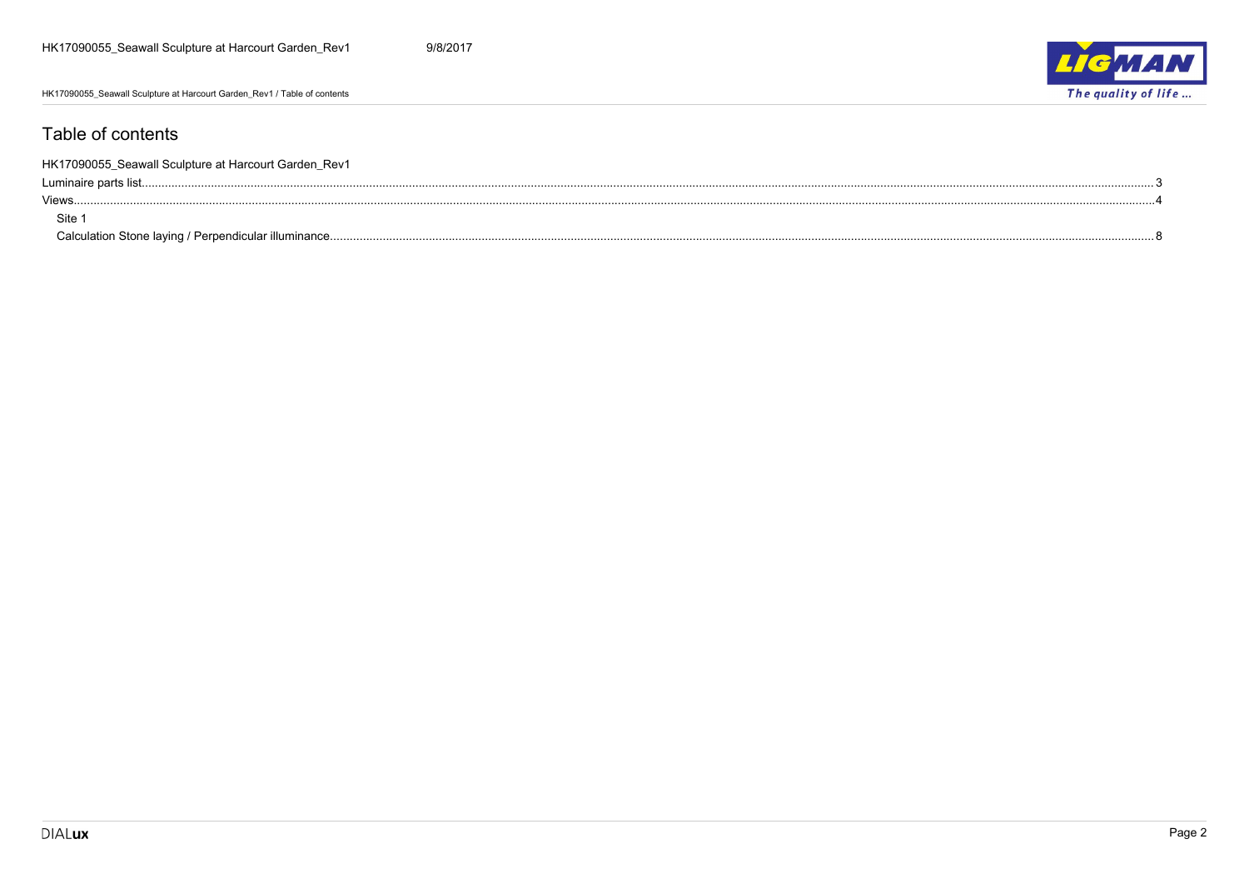HK17090055\_Seawall Sculpture at Harcourt Garden\_Rev1 / Table of contents



#### Table of contents

| HK17090055_Seawall Sculpture at Harcourt Garden_Rev1 |  |
|------------------------------------------------------|--|
|                                                      |  |
| Views                                                |  |
| Site                                                 |  |
|                                                      |  |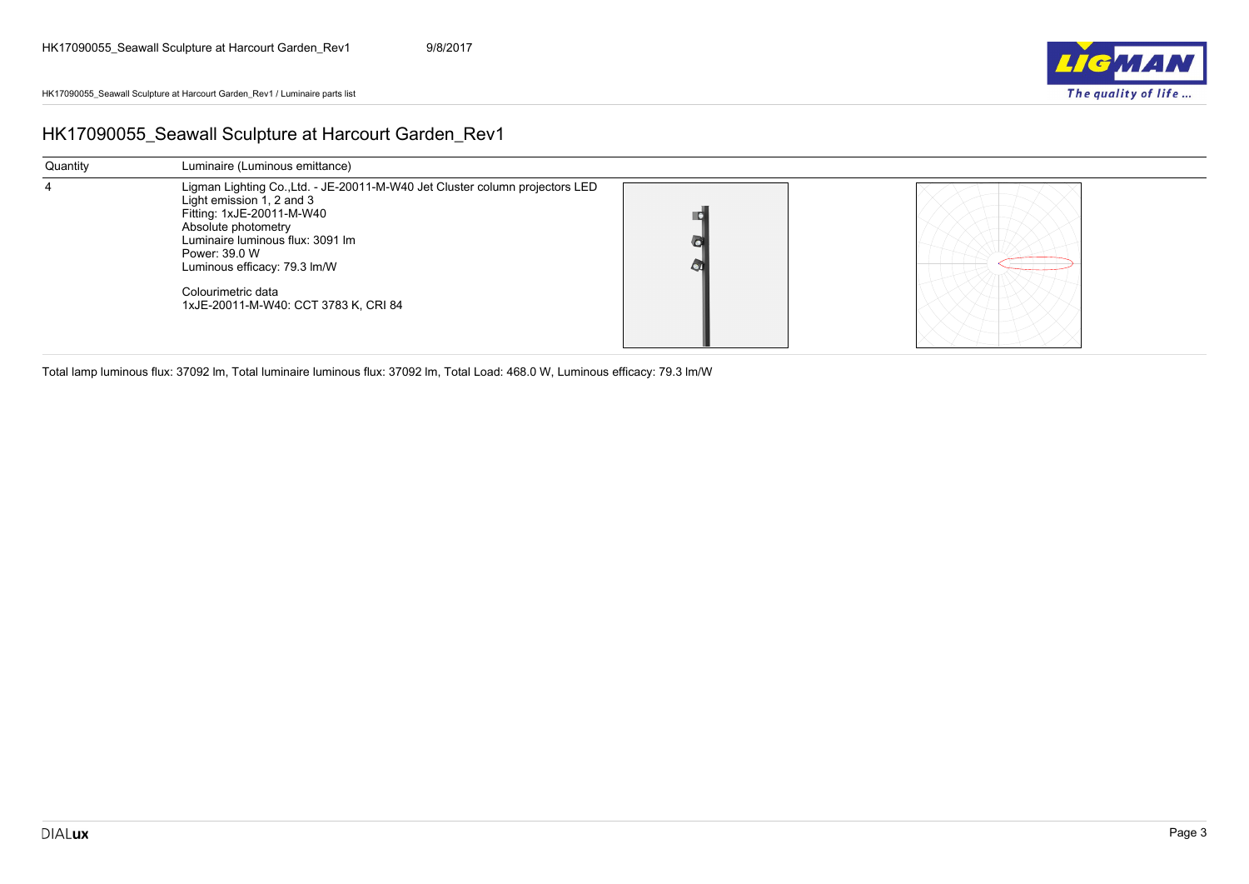

### <span id="page-2-0"></span>**HK17090055\_Seawall Sculpture at Harcourt Garden\_Rev1**

| Quantity | Luminaire (Luminous emittance)                                                                                                                                                                                                                                                                                   |    |  |
|----------|------------------------------------------------------------------------------------------------------------------------------------------------------------------------------------------------------------------------------------------------------------------------------------------------------------------|----|--|
| 4        | Ligman Lighting Co., Ltd. - JE-20011-M-W40 Jet Cluster column projectors LED<br>Light emission 1, 2 and 3<br>Fitting: 1xJE-20011-M-W40<br>Absolute photometry<br>Luminaire luminous flux: 3091 lm<br>Power: 39.0 W<br>Luminous efficacy: 79.3 lm/W<br>Colourimetric data<br>1xJE-20011-M-W40: CCT 3783 K, CRI 84 | O. |  |

Total lamp luminous flux: 37092 lm, Total luminaire luminous flux: 37092 lm, Total Load: 468.0 W, Luminous efficacy: 79.3 lm/W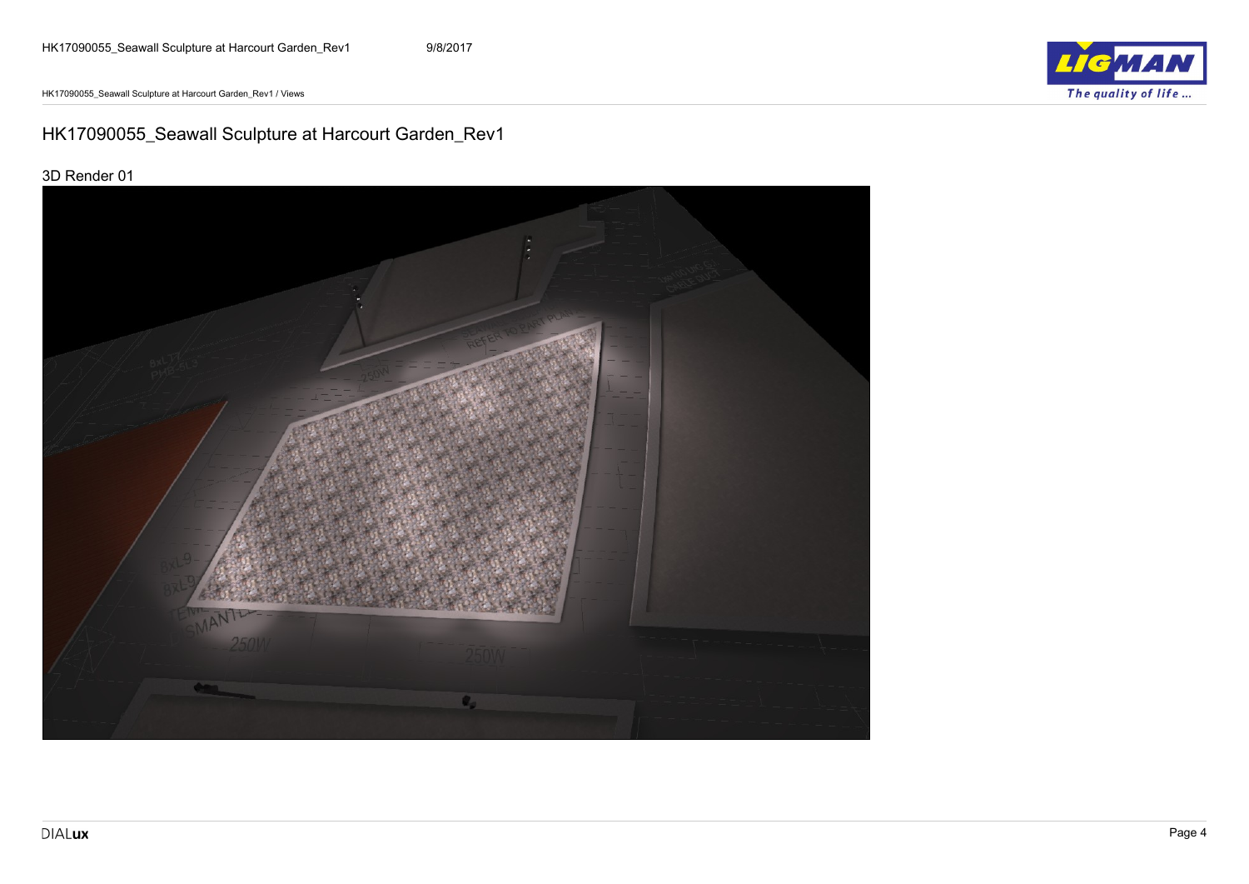HK17090055\_Seawall Sculpture at Harcourt Garden\_Rev1 / Views



# <span id="page-3-0"></span>**HK17090055\_Seawall Sculpture at Harcourt Garden\_Rev1**

#### **3D Render 01**

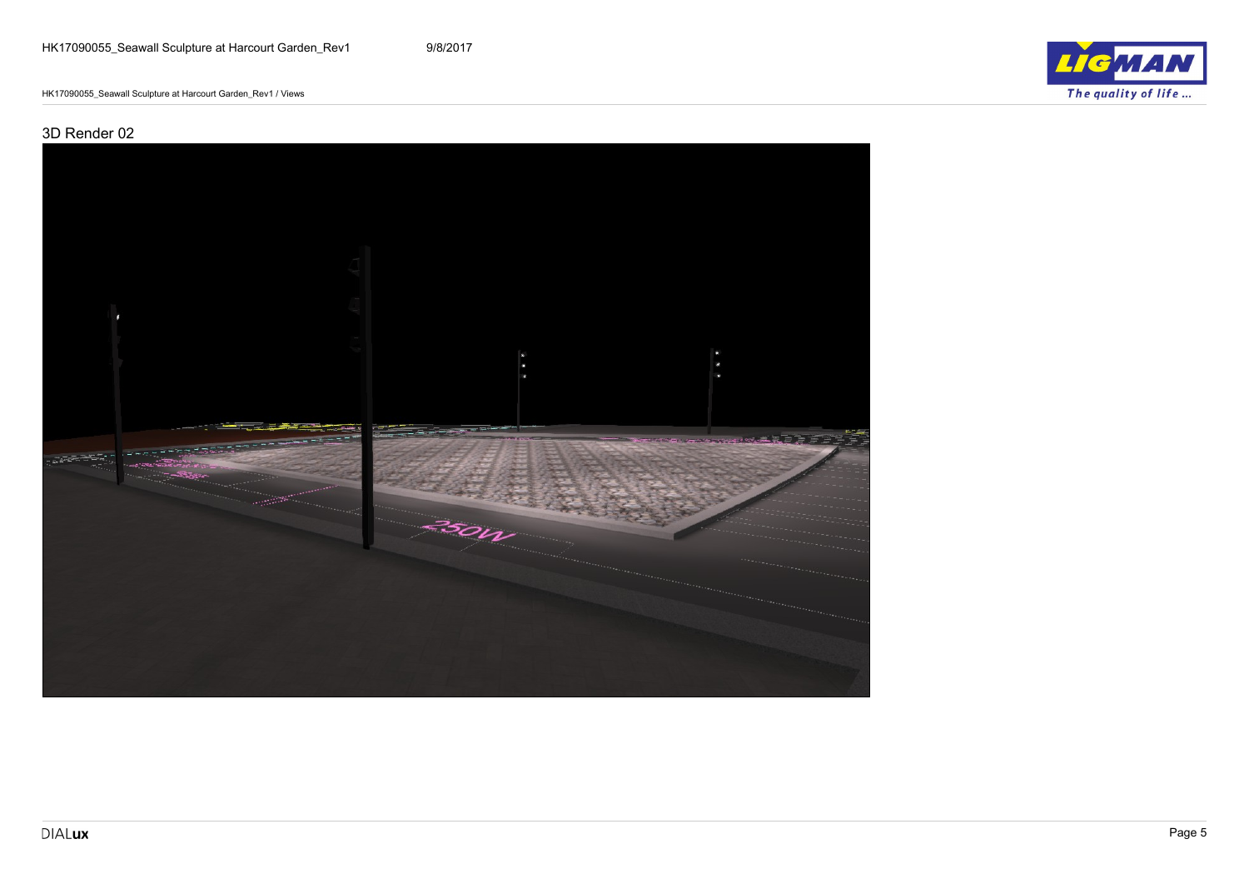$LIC$ The quality of life...

HK17090055\_Seawall Sculpture at Harcourt Garden\_Rev1 / Views

#### **3D Render 02**

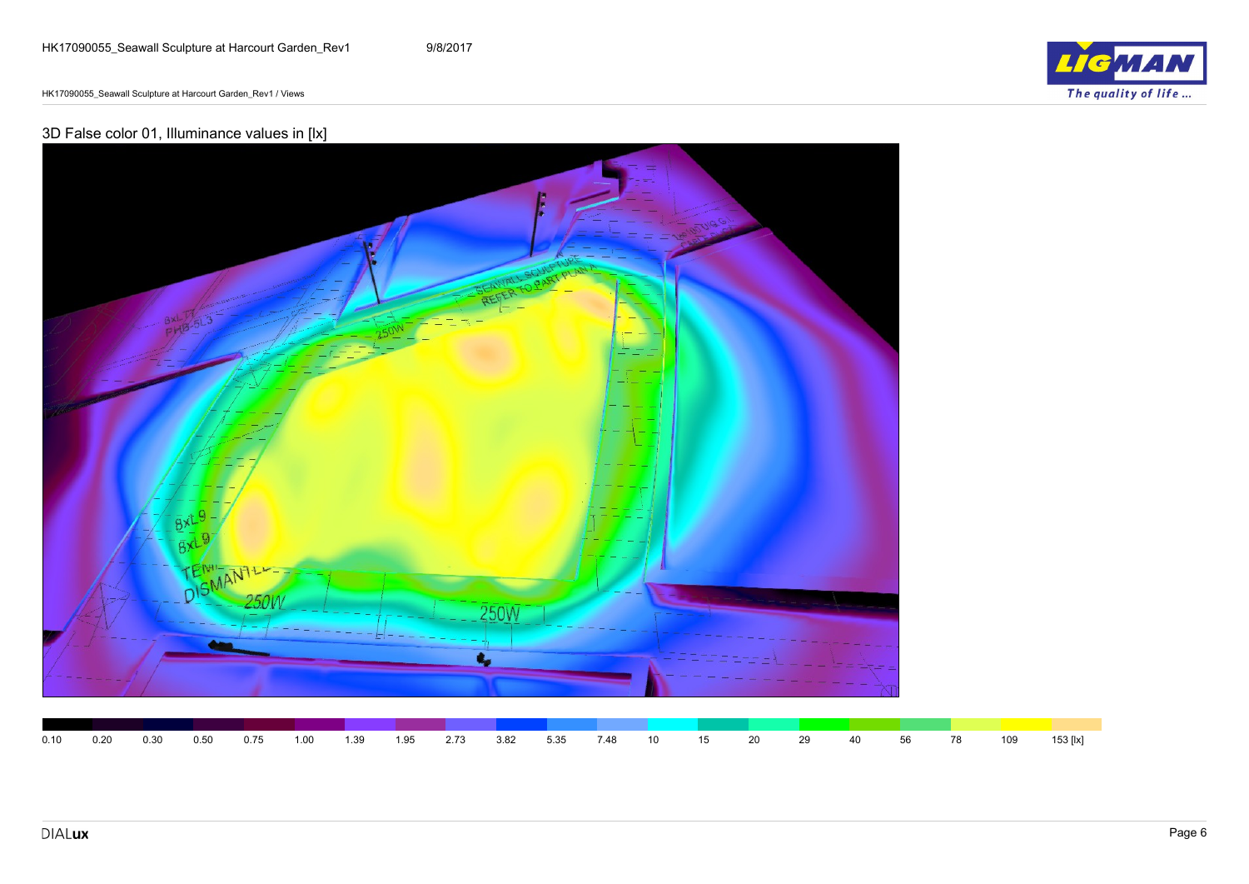$\epsilon$ The quality of life...

HK17090055\_Seawall Sculpture at Harcourt Garden\_Rev1 / Views

### **3D False color 01, Illuminance values in [lx]**

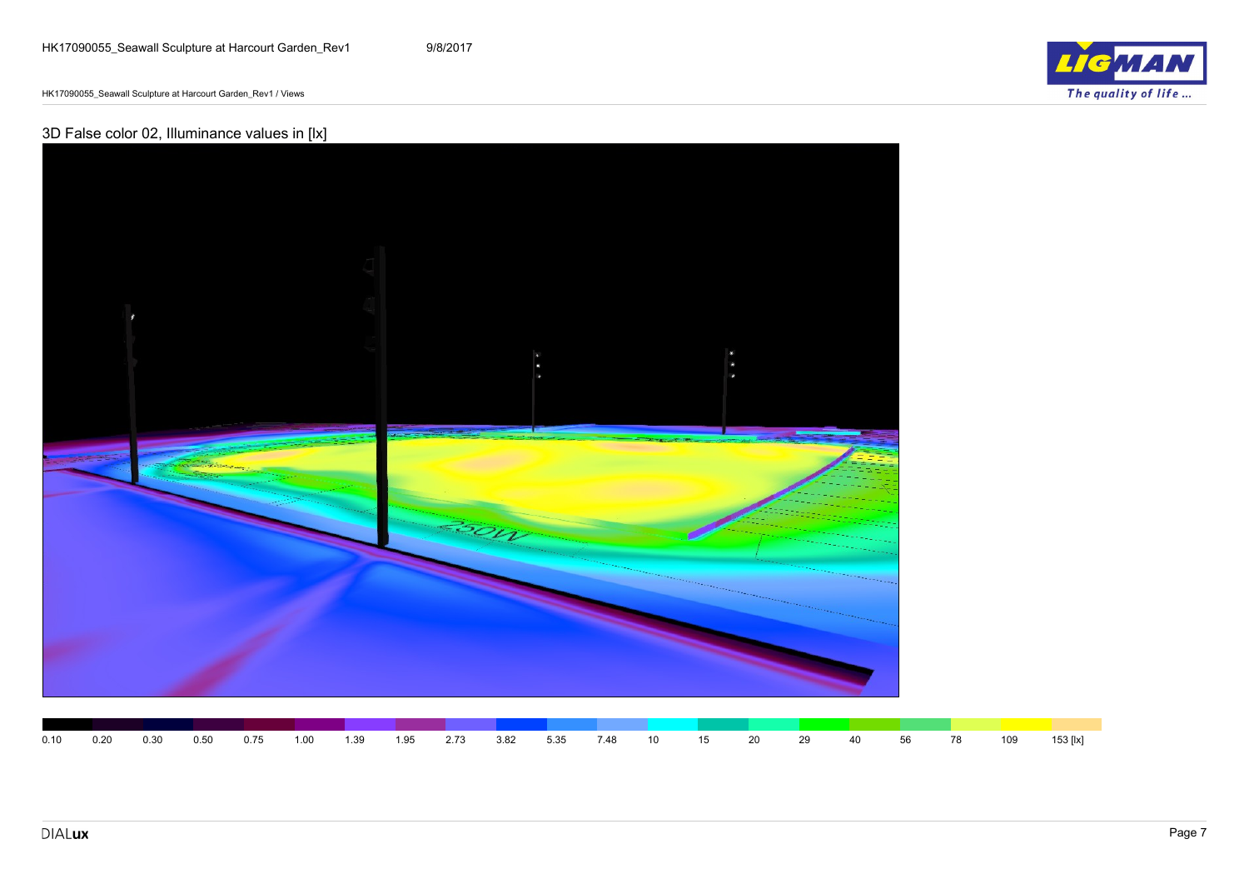HK17090055\_Seawall Sculpture at Harcourt Garden\_Rev1 / Views

### **3D False color 02, Illuminance values in [lx]**



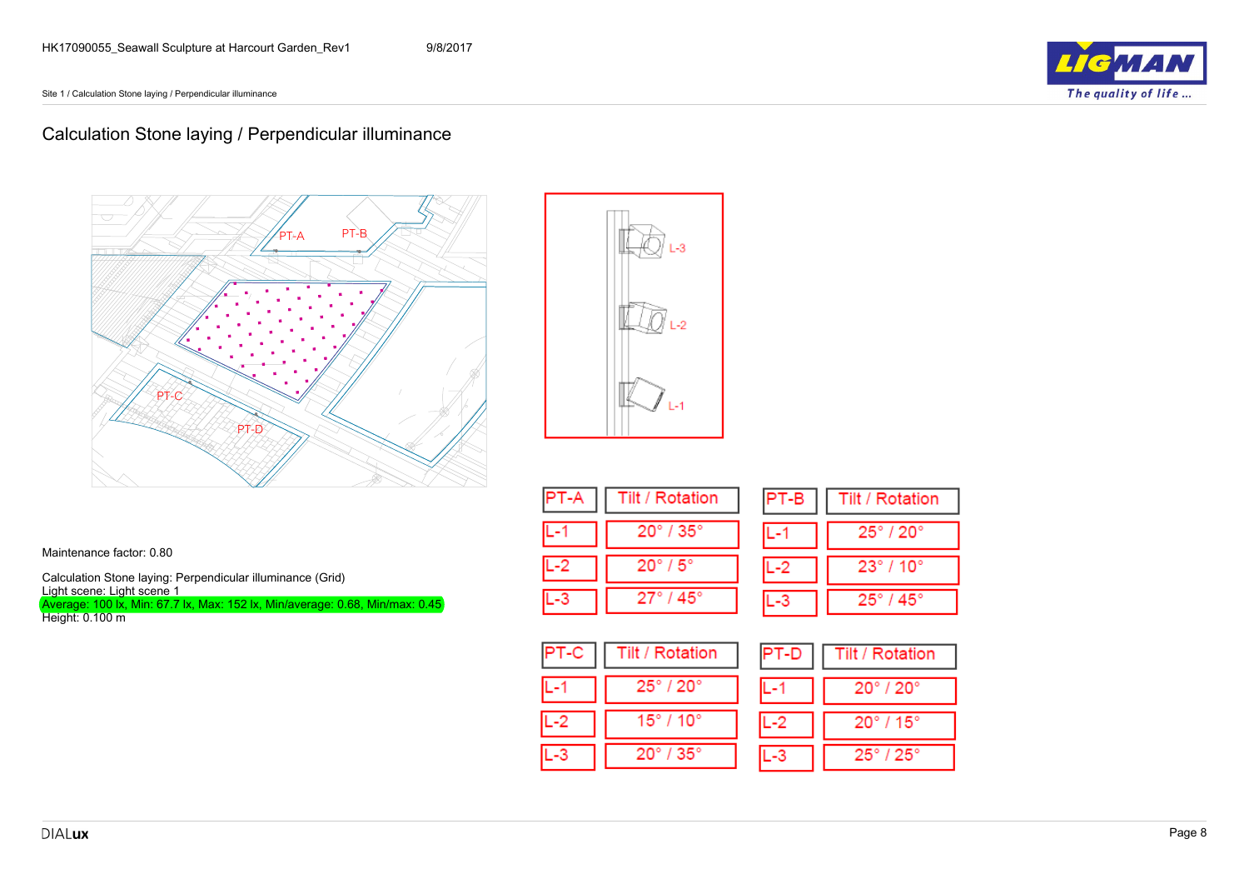Site 1 / Calculation Stone laying / Perpendicular illuminance



## <span id="page-7-0"></span>**Calculation Stone laying / Perpendicular illuminance**



و. ا

|    | Tilt / Rotation              |
|----|------------------------------|
|    | $20^\circ$ / $35^\circ$      |
| -2 | $20^\circ$ / $5^\circ$       |
|    | $27^{\circ}$ / 45 $^{\circ}$ |

| ∍<br>ΈB | Tilt / Rotation              |
|---------|------------------------------|
|         | $25^\circ$ / $20^\circ$      |
|         | $23^{\circ}$ / 10 $^{\circ}$ |
|         | $25^\circ$ / $45^\circ$      |

| Tilt / Rotation         |
|-------------------------|
| $25^\circ$ / $20^\circ$ |
| 15° / 10°               |
| $20^\circ$ / $35^\circ$ |

| $PT-D$ | <b>Tilt / Rotation</b>       |
|--------|------------------------------|
| L-1    | $20^{\circ}$ / $20^{\circ}$  |
| $L-2$  | $20^{\circ}$ / 15 $^{\circ}$ |
| ١.     | $25^\circ$ / $25^\circ$      |

Maintenance factor: 0.80

**Calculation Stone laying: Perpendicular illuminance (Grid) Light scene: Light scene 1** Average: 100 lx, Min: 67.7 lx, Max: 152 lx, Min/average: 0.68, Min/max: 0.45

Height: 0.100 m